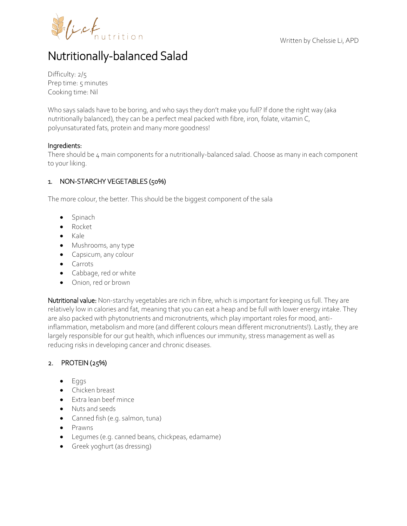

# Nutritionally-balanced Salad

Difficulty: 2/5 Prep time: 5 minutes Cooking time: Nil

Who says salads have to be boring, and who says they don't make you full? If done the right way (aka nutritionally balanced), they can be a perfect meal packed with fibre, iron, folate, vitamin C, polyunsaturated fats, protein and many more goodness!

## Ingredients:

There should be 4 main components for a nutritionally-balanced salad. Choose as many in each component to your liking.

## 1. NON-STARCHY VEGETABLES (50%)

The more colour, the better. This should be the biggest component of the sala

- Spinach
- Rocket
- $\bullet$  Kale
- Mushrooms, any type
- **•** Capsicum, any colour
- Carrots
- Cabbage, red or white
- Onion, red or brown

Nutritional value: Non-starchy vegetables are rich in fibre, which is important for keeping us full. They are relatively low in calories and fat, meaning that you can eat a heap and be full with lower energy intake. They are also packed with phytonutrients and micronutrients, which play important roles for mood, antiinflammation, metabolism and more (and different colours mean different micronutrients!). Lastly, they are largely responsible for our gut health, which influences our immunity, stress management as well as reducing risks in developing cancer and chronic diseases.

## 2. PROTEIN (25%)

- Eggs
- **•** Chicken breast
- Extra lean beef mince
- Nuts and seeds
- Canned fish (e.g. salmon, tuna)
- Prawns
- Legumes (e.g. canned beans, chickpeas, edamame)
- Greek yoghurt (as dressing)